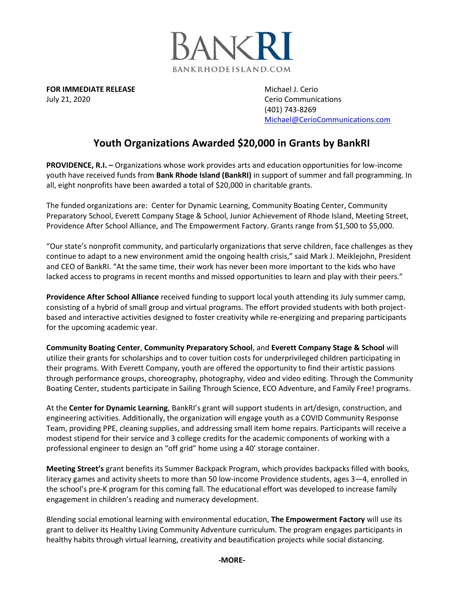

**FOR IMMEDIATE RELEASE Michael J. Cerio Michael J. Cerio** July 21, 2020 **Cerio Communications Cerio Communications** 

(401) 743-8269 [Michael@CerioCommunications.com](mailto:Michael@CerioCommunications.com)

## **Youth Organizations Awarded \$20,000 in Grants by BankRI**

**PROVIDENCE, R.I. –** Organizations whose work provides arts and education opportunities for low-income youth have received funds from **Bank Rhode Island (BankRI)** in support of summer and fall programming. In all, eight nonprofits have been awarded a total of \$20,000 in charitable grants.

The funded organizations are: Center for Dynamic Learning, Community Boating Center, Community Preparatory School, Everett Company Stage & School, Junior Achievement of Rhode Island, Meeting Street, Providence After School Alliance, and The Empowerment Factory. Grants range from \$1,500 to \$5,000.

"Our state's nonprofit community, and particularly organizations that serve children, face challenges as they continue to adapt to a new environment amid the ongoing health crisis," said Mark J. Meiklejohn, President and CEO of BankRI. "At the same time, their work has never been more important to the kids who have lacked access to programs in recent months and missed opportunities to learn and play with their peers."

**Providence After School Alliance** received funding to support local youth attending its July summer camp, consisting of a hybrid of small group and virtual programs. The effort provided students with both projectbased and interactive activities designed to foster creativity while re-energizing and preparing participants for the upcoming academic year.

**Community Boating Center**, **Community Preparatory School**, and **Everett Company Stage & School** will utilize their grants for scholarships and to cover tuition costs for underprivileged children participating in their programs. With Everett Company, youth are offered the opportunity to find their artistic passions through performance groups, choreography, photography, video and video editing. Through the Community Boating Center, students participate in Sailing Through Science, ECO Adventure, and Family Free! programs.

At the **Center for Dynamic Learning**, BankRI's grant will support students in art/design, construction, and engineering activities. Additionally, the organization will engage youth as a COVID Community Response Team, providing PPE, cleaning supplies, and addressing small item home repairs. Participants will receive a modest stipend for their service and 3 college credits for the academic components of working with a professional engineer to design an "off grid" home using a 40' storage container.

**Meeting Street's** grant benefits its Summer Backpack Program, which provides backpacks filled with books, literacy games and activity sheets to more than 50 low-income Providence students, ages 3—4, enrolled in the school's pre-K program for this coming fall. The educational effort was developed to increase family engagement in children's reading and numeracy development.

Blending social emotional learning with environmental education, **The Empowerment Factory** will use its grant to deliver its Healthy Living Community Adventure curriculum. The program engages participants in healthy habits through virtual learning, creativity and beautification projects while social distancing.